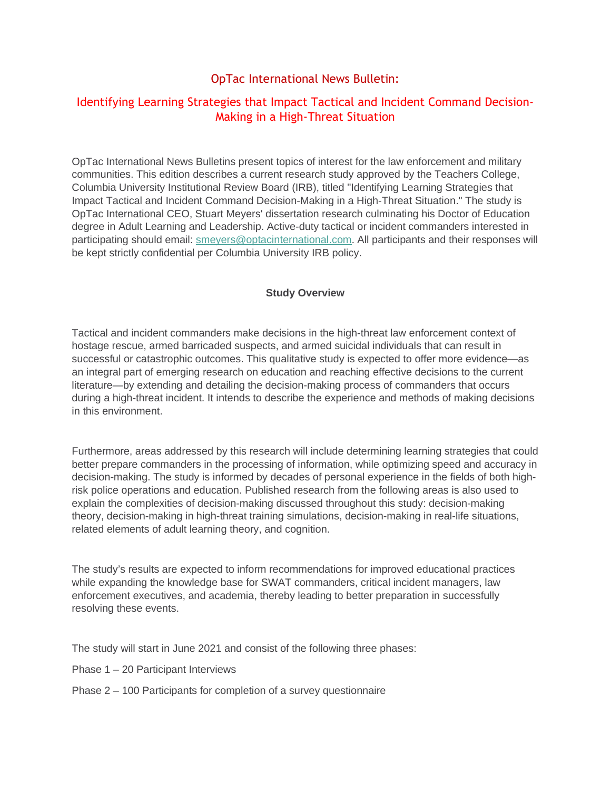## OpTac International News Bulletin:

## Identifying Learning Strategies that Impact Tactical and Incident Command Decision-Making in a High-Threat Situation

OpTac International News Bulletins present topics of interest for the law enforcement and military communities. This edition describes a current research study approved by the Teachers College, Columbia University Institutional Review Board (IRB), titled "Identifying Learning Strategies that Impact Tactical and Incident Command Decision-Making in a High-Threat Situation." The study is OpTac International CEO, Stuart Meyers' dissertation research culminating his Doctor of Education degree in Adult Learning and Leadership. Active-duty tactical or incident commanders interested in participating should email: [smeyers@optacinternational.com](mailto:smeyers@optacinternational.com). All participants and their responses will be kept strictly confidential per Columbia University IRB policy.

## **Study Overview**

Tactical and incident commanders make decisions in the high-threat law enforcement context of hostage rescue, armed barricaded suspects, and armed suicidal individuals that can result in successful or catastrophic outcomes. This qualitative study is expected to offer more evidence—as an integral part of emerging research on education and reaching effective decisions to the current literature—by extending and detailing the decision-making process of commanders that occurs during a high-threat incident. It intends to describe the experience and methods of making decisions in this environment.

Furthermore, areas addressed by this research will include determining learning strategies that could better prepare commanders in the processing of information, while optimizing speed and accuracy in decision-making. The study is informed by decades of personal experience in the fields of both highrisk police operations and education. Published research from the following areas is also used to explain the complexities of decision-making discussed throughout this study: decision-making theory, decision-making in high-threat training simulations, decision-making in real-life situations, related elements of adult learning theory, and cognition.

The study's results are expected to inform recommendations for improved educational practices while expanding the knowledge base for SWAT commanders, critical incident managers, law enforcement executives, and academia, thereby leading to better preparation in successfully resolving these events.

The study will start in June 2021 and consist of the following three phases:

- Phase 1 20 Participant Interviews
- Phase 2 100 Participants for completion of a survey questionnaire